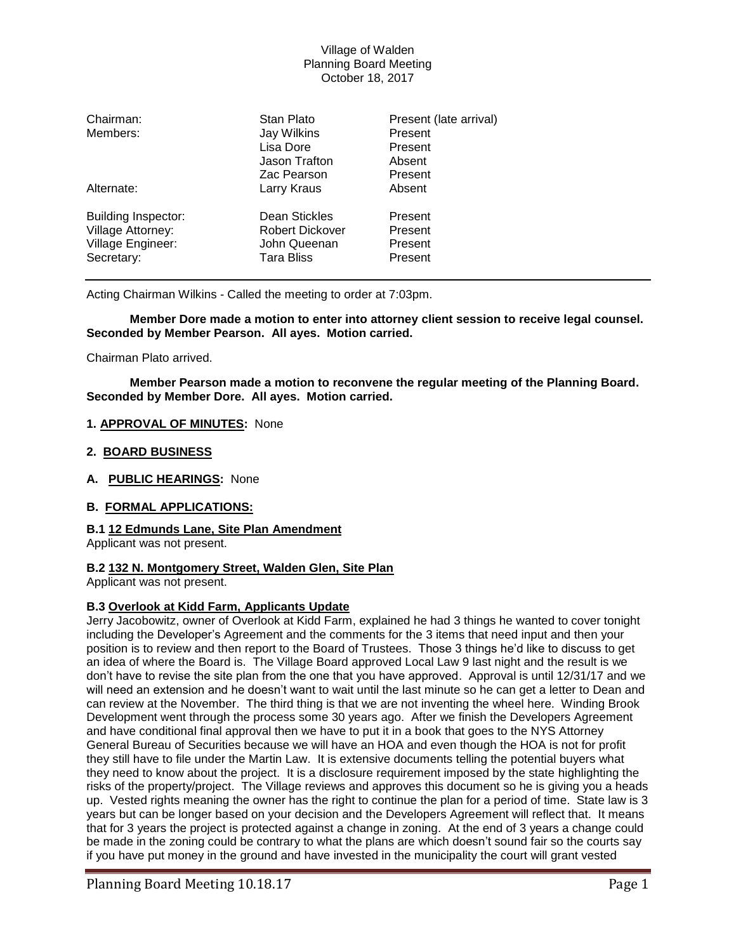| Chairman:<br>Members:                                                              | Stan Plato<br>Jay Wilkins<br>Lisa Dore<br>Jason Trafton<br>Zac Pearson       | Present (late arrival)<br>Present<br>Present<br>Absent<br>Present |
|------------------------------------------------------------------------------------|------------------------------------------------------------------------------|-------------------------------------------------------------------|
| Alternate:                                                                         | Larry Kraus                                                                  | Absent                                                            |
| <b>Building Inspector:</b><br>Village Attorney:<br>Village Engineer:<br>Secretary: | Dean Stickles<br><b>Robert Dickover</b><br>John Queenan<br><b>Tara Bliss</b> | Present<br>Present<br>Present<br>Present                          |

Acting Chairman Wilkins - Called the meeting to order at 7:03pm.

**Member Dore made a motion to enter into attorney client session to receive legal counsel. Seconded by Member Pearson. All ayes. Motion carried.**

Chairman Plato arrived.

**Member Pearson made a motion to reconvene the regular meeting of the Planning Board. Seconded by Member Dore. All ayes. Motion carried.**

## **1. APPROVAL OF MINUTES:** None

#### **2. BOARD BUSINESS**

**A. PUBLIC HEARINGS:** None

## **B. FORMAL APPLICATIONS:**

#### **B.1 12 Edmunds Lane, Site Plan Amendment**

Applicant was not present.

# **B.2 132 N. Montgomery Street, Walden Glen, Site Plan**

Applicant was not present.

#### **B.3 Overlook at Kidd Farm, Applicants Update**

Jerry Jacobowitz, owner of Overlook at Kidd Farm, explained he had 3 things he wanted to cover tonight including the Developer's Agreement and the comments for the 3 items that need input and then your position is to review and then report to the Board of Trustees. Those 3 things he'd like to discuss to get an idea of where the Board is. The Village Board approved Local Law 9 last night and the result is we don't have to revise the site plan from the one that you have approved. Approval is until 12/31/17 and we will need an extension and he doesn't want to wait until the last minute so he can get a letter to Dean and can review at the November. The third thing is that we are not inventing the wheel here. Winding Brook Development went through the process some 30 years ago. After we finish the Developers Agreement and have conditional final approval then we have to put it in a book that goes to the NYS Attorney General Bureau of Securities because we will have an HOA and even though the HOA is not for profit they still have to file under the Martin Law. It is extensive documents telling the potential buyers what they need to know about the project. It is a disclosure requirement imposed by the state highlighting the risks of the property/project. The Village reviews and approves this document so he is giving you a heads up. Vested rights meaning the owner has the right to continue the plan for a period of time. State law is 3 years but can be longer based on your decision and the Developers Agreement will reflect that. It means that for 3 years the project is protected against a change in zoning. At the end of 3 years a change could be made in the zoning could be contrary to what the plans are which doesn't sound fair so the courts say if you have put money in the ground and have invested in the municipality the court will grant vested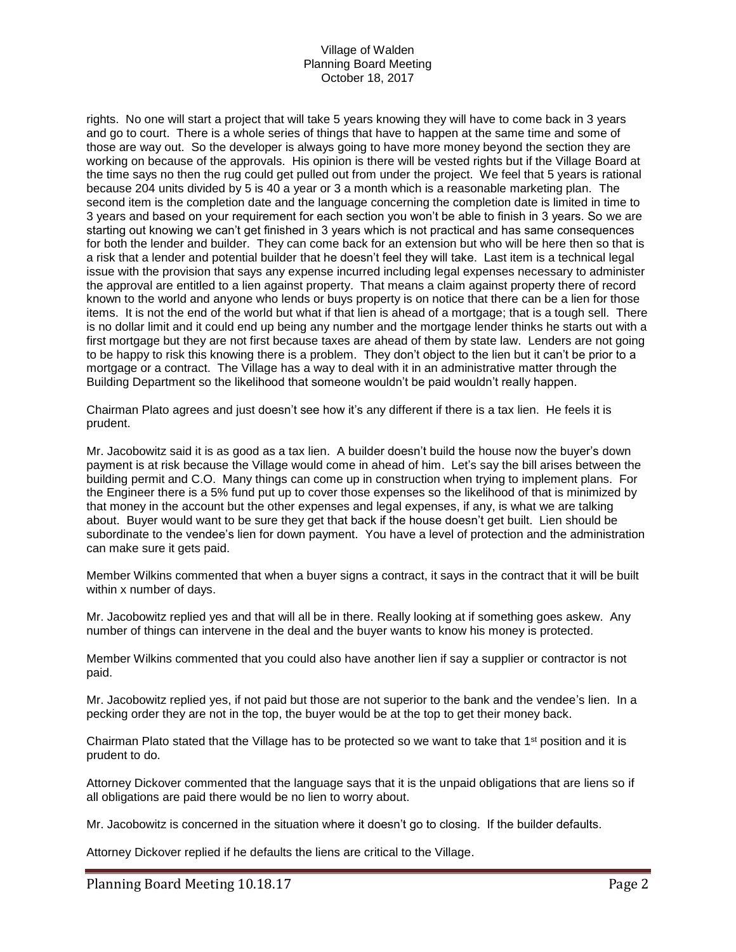rights. No one will start a project that will take 5 years knowing they will have to come back in 3 years and go to court. There is a whole series of things that have to happen at the same time and some of those are way out. So the developer is always going to have more money beyond the section they are working on because of the approvals. His opinion is there will be vested rights but if the Village Board at the time says no then the rug could get pulled out from under the project. We feel that 5 years is rational because 204 units divided by 5 is 40 a year or 3 a month which is a reasonable marketing plan. The second item is the completion date and the language concerning the completion date is limited in time to 3 years and based on your requirement for each section you won't be able to finish in 3 years. So we are starting out knowing we can't get finished in 3 years which is not practical and has same consequences for both the lender and builder. They can come back for an extension but who will be here then so that is a risk that a lender and potential builder that he doesn't feel they will take. Last item is a technical legal issue with the provision that says any expense incurred including legal expenses necessary to administer the approval are entitled to a lien against property. That means a claim against property there of record known to the world and anyone who lends or buys property is on notice that there can be a lien for those items. It is not the end of the world but what if that lien is ahead of a mortgage; that is a tough sell. There is no dollar limit and it could end up being any number and the mortgage lender thinks he starts out with a first mortgage but they are not first because taxes are ahead of them by state law. Lenders are not going to be happy to risk this knowing there is a problem. They don't object to the lien but it can't be prior to a mortgage or a contract. The Village has a way to deal with it in an administrative matter through the Building Department so the likelihood that someone wouldn't be paid wouldn't really happen.

Chairman Plato agrees and just doesn't see how it's any different if there is a tax lien. He feels it is prudent.

Mr. Jacobowitz said it is as good as a tax lien. A builder doesn't build the house now the buyer's down payment is at risk because the Village would come in ahead of him. Let's say the bill arises between the building permit and C.O. Many things can come up in construction when trying to implement plans. For the Engineer there is a 5% fund put up to cover those expenses so the likelihood of that is minimized by that money in the account but the other expenses and legal expenses, if any, is what we are talking about. Buyer would want to be sure they get that back if the house doesn't get built. Lien should be subordinate to the vendee's lien for down payment. You have a level of protection and the administration can make sure it gets paid.

Member Wilkins commented that when a buyer signs a contract, it says in the contract that it will be built within x number of days.

Mr. Jacobowitz replied yes and that will all be in there. Really looking at if something goes askew. Any number of things can intervene in the deal and the buyer wants to know his money is protected.

Member Wilkins commented that you could also have another lien if say a supplier or contractor is not paid.

Mr. Jacobowitz replied yes, if not paid but those are not superior to the bank and the vendee's lien. In a pecking order they are not in the top, the buyer would be at the top to get their money back.

Chairman Plato stated that the Village has to be protected so we want to take that 1<sup>st</sup> position and it is prudent to do.

Attorney Dickover commented that the language says that it is the unpaid obligations that are liens so if all obligations are paid there would be no lien to worry about.

Mr. Jacobowitz is concerned in the situation where it doesn't go to closing. If the builder defaults.

Attorney Dickover replied if he defaults the liens are critical to the Village.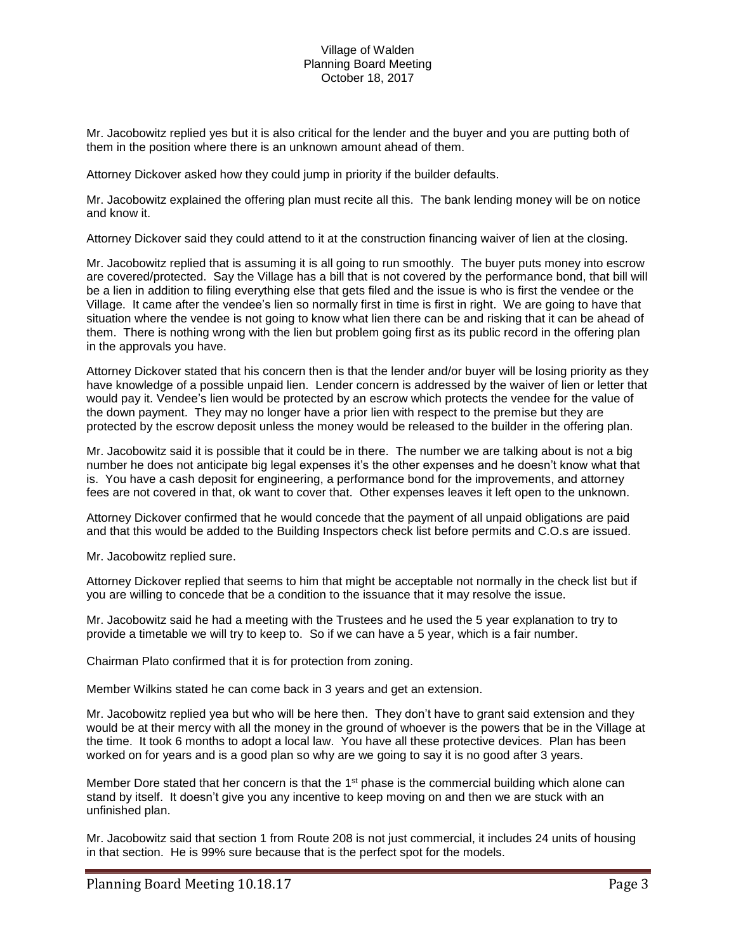Mr. Jacobowitz replied yes but it is also critical for the lender and the buyer and you are putting both of them in the position where there is an unknown amount ahead of them.

Attorney Dickover asked how they could jump in priority if the builder defaults.

Mr. Jacobowitz explained the offering plan must recite all this. The bank lending money will be on notice and know it.

Attorney Dickover said they could attend to it at the construction financing waiver of lien at the closing.

Mr. Jacobowitz replied that is assuming it is all going to run smoothly. The buyer puts money into escrow are covered/protected. Say the Village has a bill that is not covered by the performance bond, that bill will be a lien in addition to filing everything else that gets filed and the issue is who is first the vendee or the Village. It came after the vendee's lien so normally first in time is first in right. We are going to have that situation where the vendee is not going to know what lien there can be and risking that it can be ahead of them. There is nothing wrong with the lien but problem going first as its public record in the offering plan in the approvals you have.

Attorney Dickover stated that his concern then is that the lender and/or buyer will be losing priority as they have knowledge of a possible unpaid lien. Lender concern is addressed by the waiver of lien or letter that would pay it. Vendee's lien would be protected by an escrow which protects the vendee for the value of the down payment. They may no longer have a prior lien with respect to the premise but they are protected by the escrow deposit unless the money would be released to the builder in the offering plan.

Mr. Jacobowitz said it is possible that it could be in there. The number we are talking about is not a big number he does not anticipate big legal expenses it's the other expenses and he doesn't know what that is. You have a cash deposit for engineering, a performance bond for the improvements, and attorney fees are not covered in that, ok want to cover that. Other expenses leaves it left open to the unknown.

Attorney Dickover confirmed that he would concede that the payment of all unpaid obligations are paid and that this would be added to the Building Inspectors check list before permits and C.O.s are issued.

Mr. Jacobowitz replied sure.

Attorney Dickover replied that seems to him that might be acceptable not normally in the check list but if you are willing to concede that be a condition to the issuance that it may resolve the issue.

Mr. Jacobowitz said he had a meeting with the Trustees and he used the 5 year explanation to try to provide a timetable we will try to keep to. So if we can have a 5 year, which is a fair number.

Chairman Plato confirmed that it is for protection from zoning.

Member Wilkins stated he can come back in 3 years and get an extension.

Mr. Jacobowitz replied yea but who will be here then. They don't have to grant said extension and they would be at their mercy with all the money in the ground of whoever is the powers that be in the Village at the time. It took 6 months to adopt a local law. You have all these protective devices. Plan has been worked on for years and is a good plan so why are we going to say it is no good after 3 years.

Member Dore stated that her concern is that the  $1<sup>st</sup>$  phase is the commercial building which alone can stand by itself. It doesn't give you any incentive to keep moving on and then we are stuck with an unfinished plan.

Mr. Jacobowitz said that section 1 from Route 208 is not just commercial, it includes 24 units of housing in that section. He is 99% sure because that is the perfect spot for the models.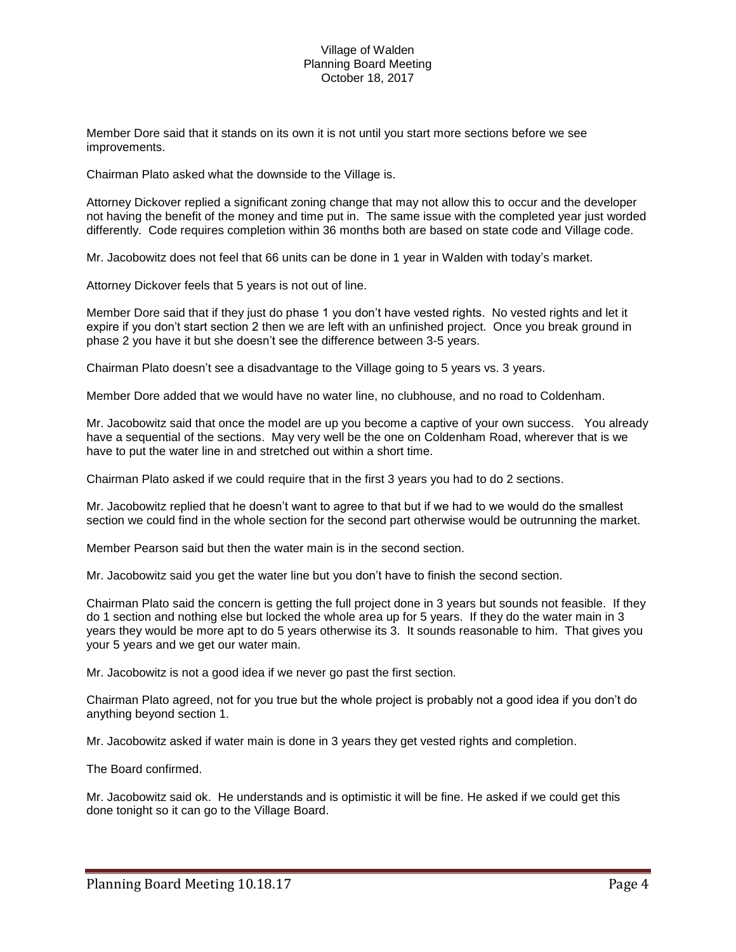Member Dore said that it stands on its own it is not until you start more sections before we see improvements.

Chairman Plato asked what the downside to the Village is.

Attorney Dickover replied a significant zoning change that may not allow this to occur and the developer not having the benefit of the money and time put in. The same issue with the completed year just worded differently. Code requires completion within 36 months both are based on state code and Village code.

Mr. Jacobowitz does not feel that 66 units can be done in 1 year in Walden with today's market.

Attorney Dickover feels that 5 years is not out of line.

Member Dore said that if they just do phase 1 you don't have vested rights. No vested rights and let it expire if you don't start section 2 then we are left with an unfinished project. Once you break ground in phase 2 you have it but she doesn't see the difference between 3-5 years.

Chairman Plato doesn't see a disadvantage to the Village going to 5 years vs. 3 years.

Member Dore added that we would have no water line, no clubhouse, and no road to Coldenham.

Mr. Jacobowitz said that once the model are up you become a captive of your own success. You already have a sequential of the sections. May very well be the one on Coldenham Road, wherever that is we have to put the water line in and stretched out within a short time.

Chairman Plato asked if we could require that in the first 3 years you had to do 2 sections.

Mr. Jacobowitz replied that he doesn't want to agree to that but if we had to we would do the smallest section we could find in the whole section for the second part otherwise would be outrunning the market.

Member Pearson said but then the water main is in the second section.

Mr. Jacobowitz said you get the water line but you don't have to finish the second section.

Chairman Plato said the concern is getting the full project done in 3 years but sounds not feasible. If they do 1 section and nothing else but locked the whole area up for 5 years. If they do the water main in 3 years they would be more apt to do 5 years otherwise its 3. It sounds reasonable to him. That gives you your 5 years and we get our water main.

Mr. Jacobowitz is not a good idea if we never go past the first section.

Chairman Plato agreed, not for you true but the whole project is probably not a good idea if you don't do anything beyond section 1.

Mr. Jacobowitz asked if water main is done in 3 years they get vested rights and completion.

The Board confirmed.

Mr. Jacobowitz said ok. He understands and is optimistic it will be fine. He asked if we could get this done tonight so it can go to the Village Board.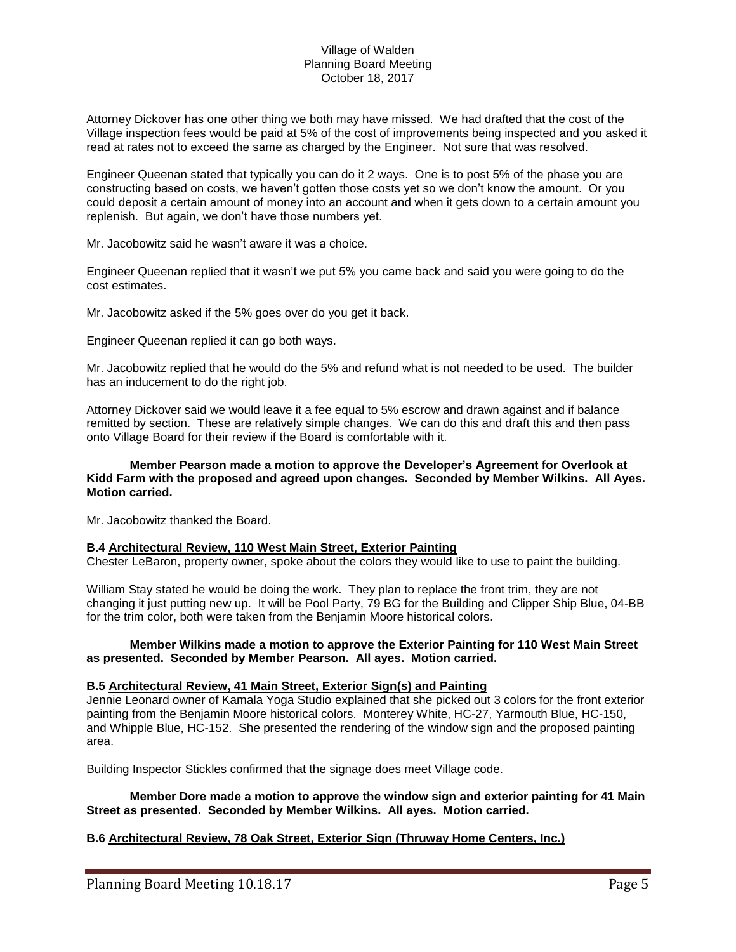Attorney Dickover has one other thing we both may have missed. We had drafted that the cost of the Village inspection fees would be paid at 5% of the cost of improvements being inspected and you asked it read at rates not to exceed the same as charged by the Engineer. Not sure that was resolved.

Engineer Queenan stated that typically you can do it 2 ways. One is to post 5% of the phase you are constructing based on costs, we haven't gotten those costs yet so we don't know the amount. Or you could deposit a certain amount of money into an account and when it gets down to a certain amount you replenish. But again, we don't have those numbers yet.

Mr. Jacobowitz said he wasn't aware it was a choice.

Engineer Queenan replied that it wasn't we put 5% you came back and said you were going to do the cost estimates.

Mr. Jacobowitz asked if the 5% goes over do you get it back.

Engineer Queenan replied it can go both ways.

Mr. Jacobowitz replied that he would do the 5% and refund what is not needed to be used. The builder has an inducement to do the right job.

Attorney Dickover said we would leave it a fee equal to 5% escrow and drawn against and if balance remitted by section. These are relatively simple changes. We can do this and draft this and then pass onto Village Board for their review if the Board is comfortable with it.

## **Member Pearson made a motion to approve the Developer's Agreement for Overlook at Kidd Farm with the proposed and agreed upon changes. Seconded by Member Wilkins. All Ayes. Motion carried.**

Mr. Jacobowitz thanked the Board.

## **B.4 Architectural Review, 110 West Main Street, Exterior Painting**

Chester LeBaron, property owner, spoke about the colors they would like to use to paint the building.

William Stay stated he would be doing the work. They plan to replace the front trim, they are not changing it just putting new up. It will be Pool Party, 79 BG for the Building and Clipper Ship Blue, 04-BB for the trim color, both were taken from the Benjamin Moore historical colors.

## **Member Wilkins made a motion to approve the Exterior Painting for 110 West Main Street as presented. Seconded by Member Pearson. All ayes. Motion carried.**

## **B.5 Architectural Review, 41 Main Street, Exterior Sign(s) and Painting**

Jennie Leonard owner of Kamala Yoga Studio explained that she picked out 3 colors for the front exterior painting from the Benjamin Moore historical colors. Monterey White, HC-27, Yarmouth Blue, HC-150, and Whipple Blue, HC-152. She presented the rendering of the window sign and the proposed painting area.

Building Inspector Stickles confirmed that the signage does meet Village code.

## **Member Dore made a motion to approve the window sign and exterior painting for 41 Main Street as presented. Seconded by Member Wilkins. All ayes. Motion carried.**

## **B.6 Architectural Review, 78 Oak Street, Exterior Sign (Thruway Home Centers, Inc.)**